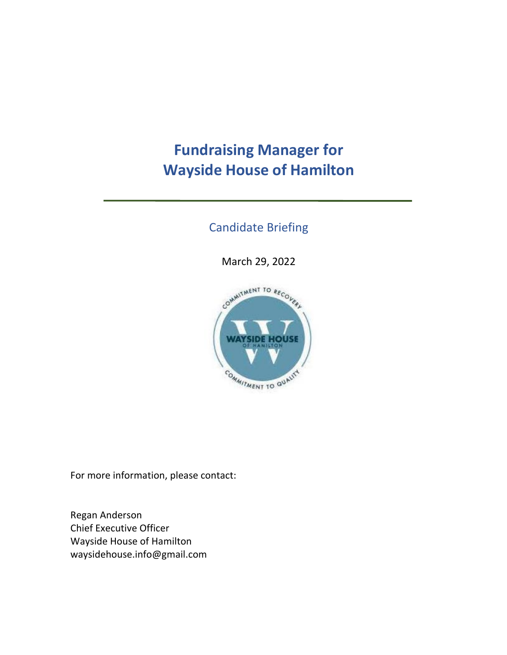# **Fundraising Manager for Wayside House of Hamilton**

### Candidate Briefing

March 29, 2022



For more information, please contact:

Regan Anderson Chief Executive Officer Wayside House of Hamilton waysidehouse.info@gmail.com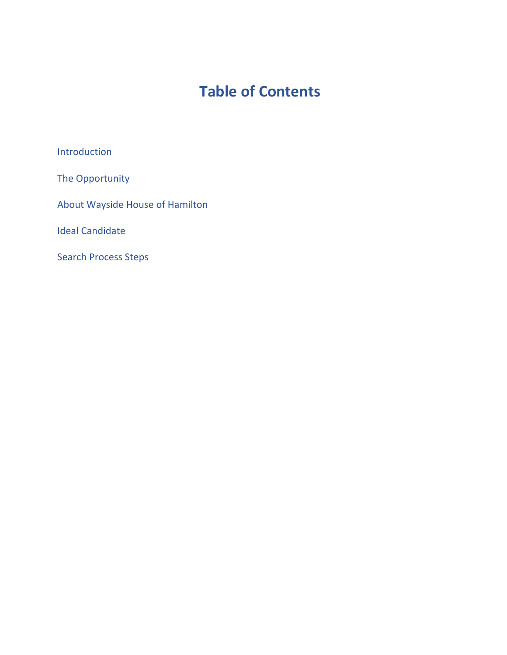## **Table of Contents**

Introduction

The Opportunity

About Wayside House of Hamilton

Ideal Candidate

Search Process Steps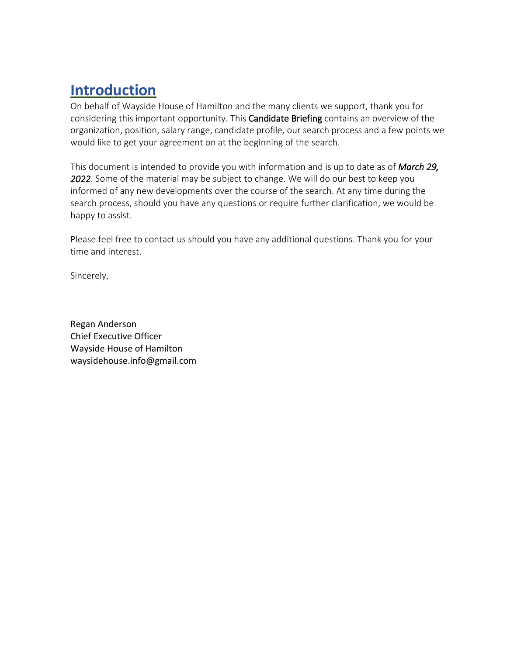## **Introduction**

On behalf of Wayside House of Hamilton and the many clients we support, thank you for considering this important opportunity. This Candidate Briefing contains an overview of the organization, position, salary range, candidate profile, our search process and a few points we would like to get your agreement on at the beginning of the search.

This document is intended to provide you with information and is up to date as of *March 29, 2022*. Some of the material may be subject to change. We will do our best to keep you informed of any new developments over the course of the search. At any time during the search process, should you have any questions or require further clarification, we would be happy to assist.

Please feel free to contact us should you have any additional questions. Thank you for your time and interest.

Sincerely,

Regan Anderson Chief Executive Officer Wayside House of Hamilton waysidehouse.info@gmail.com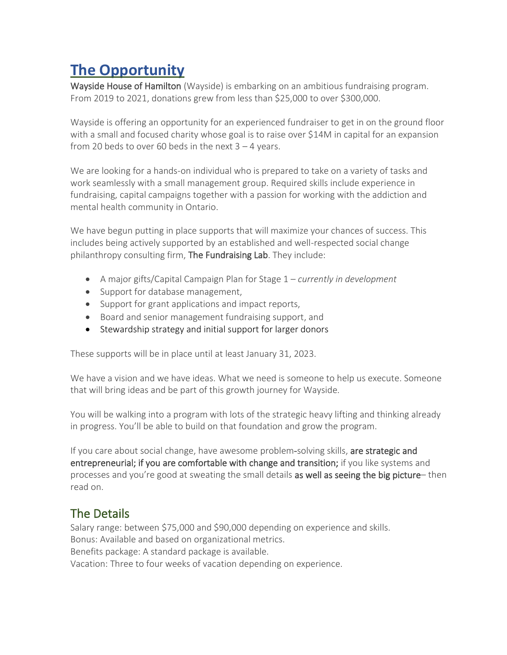### **The Opportunity**

Wayside House of Hamilton (Wayside) is embarking on an ambitious fundraising program. From 2019 to 2021, donations grew from less than \$25,000 to over \$300,000.

Wayside is offering an opportunity for an experienced fundraiser to get in on the ground floor with a small and focused charity whose goal is to raise over \$14M in capital for an expansion from 20 beds to over 60 beds in the next  $3 - 4$  years.

We are looking for a hands-on individual who is prepared to take on a variety of tasks and work seamlessly with a small management group. Required skills include experience in fundraising, capital campaigns together with a passion for working with the addiction and mental health community in Ontario.

We have begun putting in place supports that will maximize your chances of success. This includes being actively supported by an established and well-respected social change philanthropy consulting firm, The Fundraising Lab. They include:

- A major gifts/Capital Campaign Plan for Stage 1 *currently in development*
- Support for database management,
- Support for grant applications and impact reports,
- Board and senior management fundraising support, and
- Stewardship strategy and initial support for larger donors

These supports will be in place until at least January 31, 2023.

We have a vision and we have ideas. What we need is someone to help us execute. Someone that will bring ideas and be part of this growth journey for Wayside.

You will be walking into a program with lots of the strategic heavy lifting and thinking already in progress. You'll be able to build on that foundation and grow the program.

If you care about social change, have awesome problem-solving skills, are strategic and entrepreneurial; if you are comfortable with change and transition; if you like systems and processes and you're good at sweating the small details as well as seeing the big picture– then read on.

### The Details

Salary range: between \$75,000 and \$90,000 depending on experience and skills. Bonus: Available and based on organizational metrics. Benefits package: A standard package is available. Vacation: Three to four weeks of vacation depending on experience.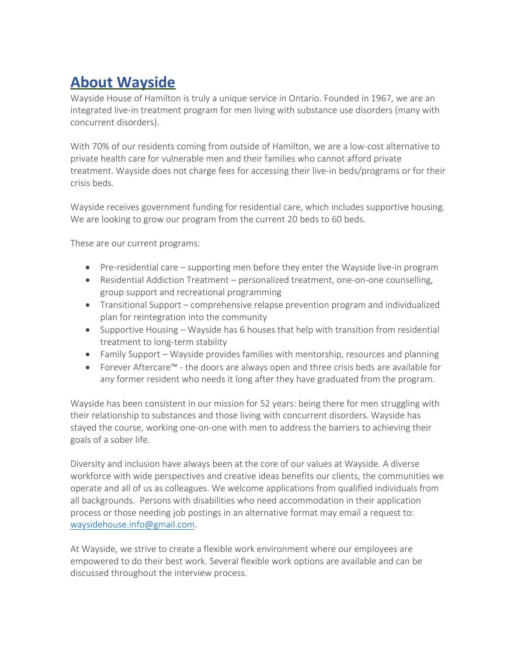### **About Wayside**

Wayside House of Hamilton is truly a unique service in Ontario. Founded in 1967, we are an integrated live-in treatment program for men living with substance use disorders (many with concurrent disorders).

With 70% of our residents coming from outside of Hamilton, we are a low-cost alternative to private health care for vulnerable men and their families who cannot afford private treatment. Wayside does not charge fees for accessing their live-in beds/programs or for their crisis beds.

Wayside receives government funding for residential care, which includes supportive housing. We are looking to grow our program from the current 20 beds to 60 beds.

These are our current programs:

- Pre-residential care supporting men before they enter the Wayside live-in program
- Residential Addiction Treatment personalized treatment, one-on-one counselling, group support and recreational programming
- Transitional Support comprehensive relapse prevention program and individualized plan for reintegration into the community
- Supportive Housing Wayside has 6 houses that help with transition from residential treatment to long-term stability
- Family Support Wayside provides families with mentorship, resources and planning
- Forever Aftercare™ the doors are always open and three crisis beds are available for any former resident who needs it long after they have graduated from the program.

Wayside has been consistent in our mission for 52 years: being there for men struggling with their relationship to substances and those living with concurrent disorders. Wayside has stayed the course, working one-on-one with men to address the barriers to achieving their goals of a sober life.

Diversity and inclusion have always been at the core of our values at Wayside. A diverse workforce with wide perspectives and creative ideas benefits our clients, the communities we operate and all of us as colleagues. We welcome applications from qualified individuals from all backgrounds. Persons with disabilities who need accommodation in their application process or those needing job postings in an alternative format may email a request to: [waysidehouse.info@gmail.com.](mailto:waysidehouse.info@gmail.com)

At Wayside, we strive to create a flexible work environment where our employees are empowered to do their best work. Several flexible work options are available and can be discussed throughout the interview process.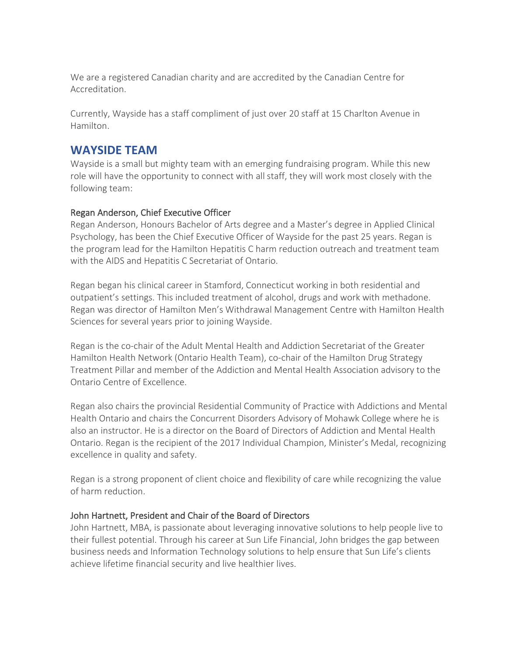We are a registered Canadian charity and are accredited by the Canadian Centre for Accreditation.

Currently, Wayside has a staff compliment of just over 20 staff at 15 Charlton Avenue in Hamilton.

### **WAYSIDE TEAM**

Wayside is a small but mighty team with an emerging fundraising program. While this new role will have the opportunity to connect with all staff, they will work most closely with the following team:

#### Regan Anderson, Chief Executive Officer

Regan Anderson, Honours Bachelor of Arts degree and a Master's degree in Applied Clinical Psychology, has been the Chief Executive Officer of Wayside for the past 25 years. Regan is the program lead for the Hamilton Hepatitis C harm reduction outreach and treatment team with the AIDS and Hepatitis C Secretariat of Ontario.

Regan began his clinical career in Stamford, Connecticut working in both residential and outpatient's settings. This included treatment of alcohol, drugs and work with methadone. Regan was director of Hamilton Men's Withdrawal Management Centre with Hamilton Health Sciences for several years prior to joining Wayside.

Regan is the co-chair of the Adult Mental Health and Addiction Secretariat of the Greater Hamilton Health Network (Ontario Health Team), co-chair of the Hamilton Drug Strategy Treatment Pillar and member of the Addiction and Mental Health Association advisory to the Ontario Centre of Excellence.

Regan also chairs the provincial Residential Community of Practice with Addictions and Mental Health Ontario and chairs the Concurrent Disorders Advisory of Mohawk College where he is also an instructor. He is a director on the Board of Directors of Addiction and Mental Health Ontario. Regan is the recipient of the 2017 Individual Champion, Minister's Medal, recognizing excellence in quality and safety.

Regan is a strong proponent of client choice and flexibility of care while recognizing the value of harm reduction.

#### John Hartnett, President and Chair of the Board of Directors

John Hartnett, MBA, is passionate about leveraging innovative solutions to help people live to their fullest potential. Through his career at Sun Life Financial, John bridges the gap between business needs and Information Technology solutions to help ensure that Sun Life's clients achieve lifetime financial security and live healthier lives.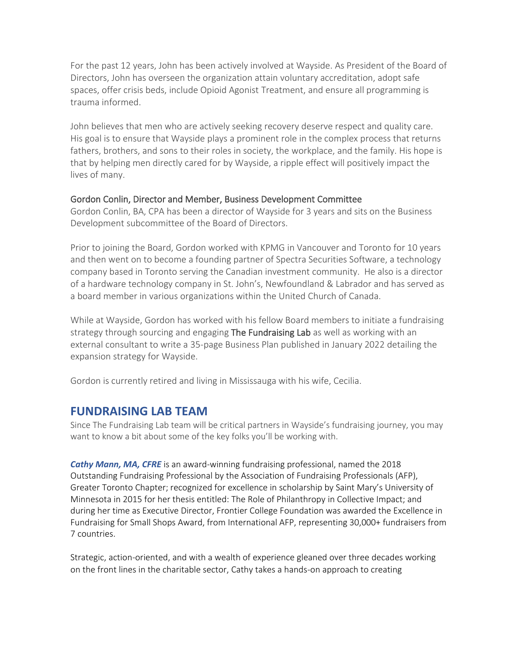For the past 12 years, John has been actively involved at Wayside. As President of the Board of Directors, John has overseen the organization attain voluntary accreditation, adopt safe spaces, offer crisis beds, include Opioid Agonist Treatment, and ensure all programming is trauma informed.

John believes that men who are actively seeking recovery deserve respect and quality care. His goal is to ensure that Wayside plays a prominent role in the complex process that returns fathers, brothers, and sons to their roles in society, the workplace, and the family. His hope is that by helping men directly cared for by Wayside, a ripple effect will positively impact the lives of many.

#### Gordon Conlin, Director and Member, Business Development Committee

Gordon Conlin, BA, CPA has been a director of Wayside for 3 years and sits on the Business Development subcommittee of the Board of Directors.

Prior to joining the Board, Gordon worked with KPMG in Vancouver and Toronto for 10 years and then went on to become a founding partner of Spectra Securities Software, a technology company based in Toronto serving the Canadian investment community. He also is a director of a hardware technology company in St. John's, Newfoundland & Labrador and has served as a board member in various organizations within the United Church of Canada.

While at Wayside, Gordon has worked with his fellow Board members to initiate a fundraising strategy through sourcing and engaging The Fundraising Lab as well as working with an external consultant to write a 35-page Business Plan published in January 2022 detailing the expansion strategy for Wayside.

Gordon is currently retired and living in Mississauga with his wife, Cecilia.

#### **FUNDRAISING LAB TEAM**

Since The Fundraising Lab team will be critical partners in Wayside's fundraising journey, you may want to know a bit about some of the key folks you'll be working with.

*Cathy Mann, MA, CFRE* is an award-winning fundraising professional, named the 2018 Outstanding Fundraising Professional by the Association of Fundraising Professionals (AFP), Greater Toronto Chapter; recognized for excellence in scholarship by Saint Mary's University of Minnesota in 2015 for her thesis entitled: The Role of Philanthropy in Collective Impact; and during her time as Executive Director, Frontier College Foundation was awarded the Excellence in Fundraising for Small Shops Award, from International AFP, representing 30,000+ fundraisers from 7 countries.

Strategic, action-oriented, and with a wealth of experience gleaned over three decades working on the front lines in the charitable sector, Cathy takes a hands-on approach to creating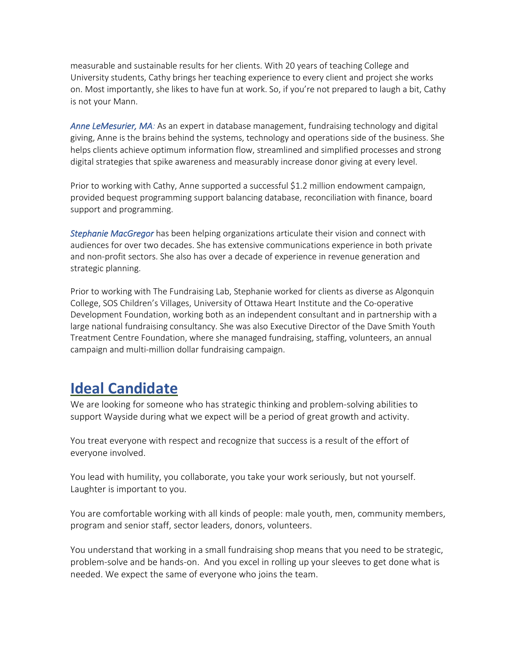measurable and sustainable results for her clients. With 20 years of teaching College and University students, Cathy brings her teaching experience to every client and project she works on. Most importantly, she likes to have fun at work. So, if you're not prepared to laugh a bit, Cathy is not your Mann.

*Anne LeMesurier, MA:* As an expert in database management, fundraising technology and digital giving, Anne is the brains behind the systems, technology and operations side of the business. She helps clients achieve optimum information flow, streamlined and simplified processes and strong digital strategies that spike awareness and measurably increase donor giving at every level.

Prior to working with Cathy, Anne supported a successful \$1.2 million endowment campaign, provided bequest programming support balancing database, reconciliation with finance, board support and programming.

*Stephanie MacGregor* has been helping organizations articulate their vision and connect with audiences for over two decades. She has extensive communications experience in both private and non-profit sectors. She also has over a decade of experience in revenue generation and strategic planning.

Prior to working with The Fundraising Lab, Stephanie worked for clients as diverse as Algonquin College, SOS Children's Villages, University of Ottawa Heart Institute and the Co-operative Development Foundation, working both as an independent consultant and in partnership with a large national fundraising consultancy. She was also Executive Director of the Dave Smith Youth Treatment Centre Foundation, where she managed fundraising, staffing, volunteers, an annual campaign and multi-million dollar fundraising campaign.

### **Ideal Candidate**

We are looking for someone who has strategic thinking and problem-solving abilities to support Wayside during what we expect will be a period of great growth and activity.

You treat everyone with respect and recognize that success is a result of the effort of everyone involved.

You lead with humility, you collaborate, you take your work seriously, but not yourself. Laughter is important to you.

You are comfortable working with all kinds of people: male youth, men, community members, program and senior staff, sector leaders, donors, volunteers.

You understand that working in a small fundraising shop means that you need to be strategic, problem-solve and be hands-on. And you excel in rolling up your sleeves to get done what is needed. We expect the same of everyone who joins the team.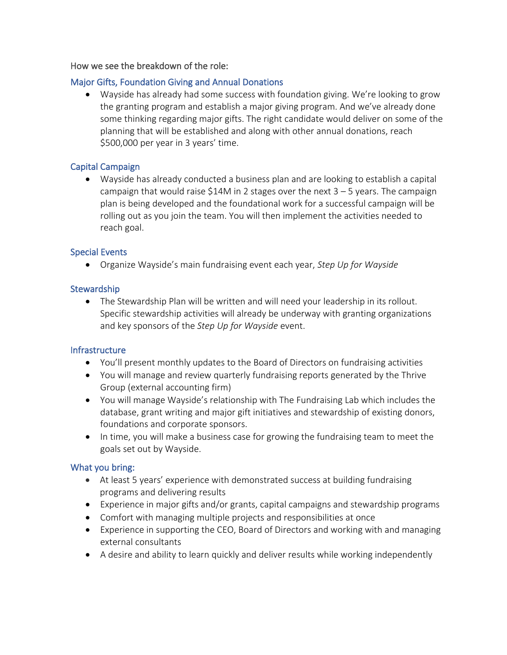#### How we see the breakdown of the role:

#### Major Gifts, Foundation Giving and Annual Donations

• Wayside has already had some success with foundation giving. We're looking to grow the granting program and establish a major giving program. And we've already done some thinking regarding major gifts. The right candidate would deliver on some of the planning that will be established and along with other annual donations, reach \$500,000 per year in 3 years' time.

#### Capital Campaign

• Wayside has already conducted a business plan and are looking to establish a capital campaign that would raise \$14M in 2 stages over the next  $3 - 5$  years. The campaign plan is being developed and the foundational work for a successful campaign will be rolling out as you join the team. You will then implement the activities needed to reach goal.

#### Special Events

• Organize Wayside's main fundraising event each year, *Step Up for Wayside*

#### **Stewardship**

• The Stewardship Plan will be written and will need your leadership in its rollout. Specific stewardship activities will already be underway with granting organizations and key sponsors of the *Step Up for Wayside* event.

#### Infrastructure

- You'll present monthly updates to the Board of Directors on fundraising activities
- You will manage and review quarterly fundraising reports generated by the Thrive Group (external accounting firm)
- You will manage Wayside's relationship with The Fundraising Lab which includes the database, grant writing and major gift initiatives and stewardship of existing donors, foundations and corporate sponsors.
- In time, you will make a business case for growing the fundraising team to meet the goals set out by Wayside.

#### What you bring:

- At least 5 years' experience with demonstrated success at building fundraising programs and delivering results
- Experience in major gifts and/or grants, capital campaigns and stewardship programs
- Comfort with managing multiple projects and responsibilities at once
- Experience in supporting the CEO, Board of Directors and working with and managing external consultants
- A desire and ability to learn quickly and deliver results while working independently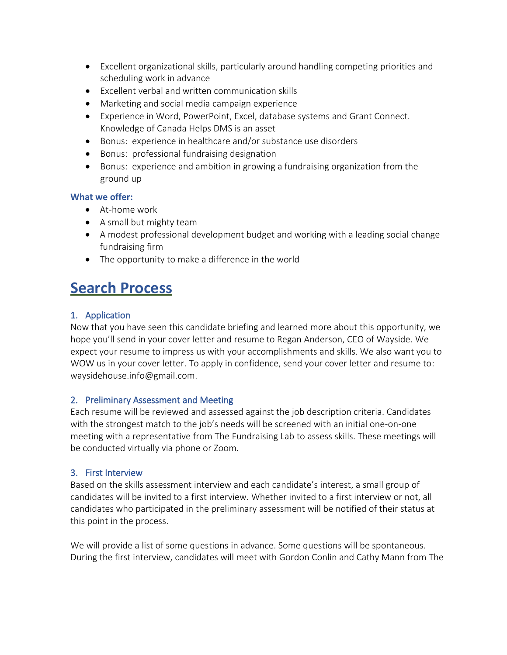- Excellent organizational skills, particularly around handling competing priorities and scheduling work in advance
- Excellent verbal and written communication skills
- Marketing and social media campaign experience
- Experience in Word, PowerPoint, Excel, database systems and Grant Connect. Knowledge of Canada Helps DMS is an asset
- Bonus: experience in healthcare and/or substance use disorders
- Bonus: professional fundraising designation
- Bonus: experience and ambition in growing a fundraising organization from the ground up

#### **What we offer:**

- At-home work
- A small but mighty team
- A modest professional development budget and working with a leading social change fundraising firm
- The opportunity to make a difference in the world

### **Search Process**

#### 1. Application

Now that you have seen this candidate briefing and learned more about this opportunity, we hope you'll send in your cover letter and resume to Regan Anderson, CEO of Wayside. We expect your resume to impress us with your accomplishments and skills. We also want you to WOW us in your cover letter. To apply in confidence, send your cover letter and resume to: waysidehouse.info@gmail.com.

#### 2. Preliminary Assessment and Meeting

Each resume will be reviewed and assessed against the job description criteria. Candidates with the strongest match to the job's needs will be screened with an initial one-on-one meeting with a representative from The Fundraising Lab to assess skills. These meetings will be conducted virtually via phone or Zoom.

#### 3. First Interview

Based on the skills assessment interview and each candidate's interest, a small group of candidates will be invited to a first interview. Whether invited to a first interview or not, all candidates who participated in the preliminary assessment will be notified of their status at this point in the process.

We will provide a list of some questions in advance. Some questions will be spontaneous. During the first interview, candidates will meet with Gordon Conlin and Cathy Mann from The